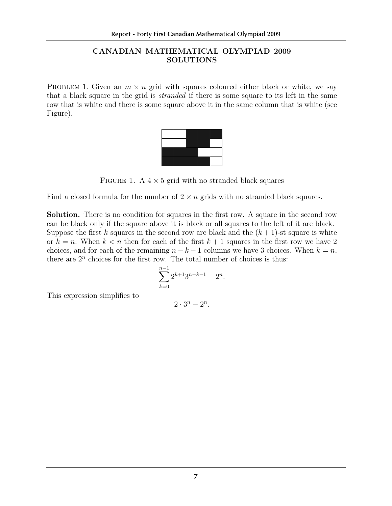## CANADIAN MATHEMATICAL OLYMPIAD 2009 SOLUTIONS

PROBLEM 1. Given an  $m \times n$  grid with squares coloured either black or white, we say that a black square in the grid is stranded if there is some square to its left in the same row that is white and there is some square above it in the same column that is white (see Figure).



FIGURE 1. A  $4 \times 5$  grid with no stranded black squares

Find a closed formula for the number of  $2 \times n$  grids with no stranded black squares.

Solution. There is no condition for squares in the first row. A square in the second row can be black only if the square above it is black or all squares to the left of it are black. Suppose the first k squares in the second row are black and the  $(k+1)$ -st square is white or  $k = n$ . When  $k < n$  then for each of the first  $k + 1$  squares in the first row we have 2 choices, and for each of the remaining  $n - k - 1$  columns we have 3 choices. When  $k = n$ , there are  $2<sup>n</sup>$  choices for the first row. The total number of choices is thus:

$$
\sum_{k=0}^{n-1} 2^{k+1} 3^{n-k-1} + 2^n.
$$

This expression simplifies to

$$
2\cdot 3^n-2^n.
$$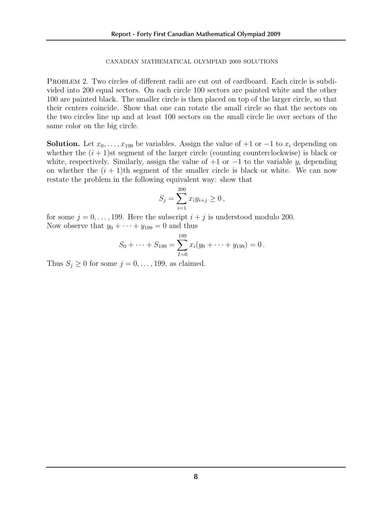## 2 CANADIAN MATHEMATICAL OLYMPIAD 2009 SOLUTIONS

PROBLEM 2. Two circles of different radii are cut out of cardboard. Each circle is subdivided into 200 equal sectors. On each circle 100 sectors are painted white and the other 100 are painted black. The smaller circle is then placed on top of the larger circle, so that their centers coincide. Show that one can rotate the small circle so that the sectors on the two circles line up and at least 100 sectors on the small circle lie over sectors of the same color on the big circle.

**Solution.** Let  $x_0, \ldots, x_{199}$  be variables. Assign the value of  $+1$  or  $-1$  to  $x_i$  depending on whether the  $(i + 1)$ st segment of the larger circle (counting counterclockwise) is black or white, respectively. Similarly, assign the value of  $+1$  or  $-1$  to the variable  $y_i$  depending on whether the  $(i + 1)$ th segment of the smaller circle is black or white. We can now restate the problem in the following equivalent way: show that

$$
S_j = \sum_{i=1}^{200} x_i y_{i+j} \ge 0,
$$

for some  $j = 0, \ldots, 199$ . Here the subscript  $i + j$  is understood modulo 200. Now observe that  $y_0 + \cdots + y_{199} = 0$  and thus

$$
S_0 + \cdots + S_{199} = \sum_{I=0}^{199} x_i (y_0 + \cdots + y_{199}) = 0.
$$

Thus  $S_j \geq 0$  for some  $j = 0, \ldots, 199$ , as claimed.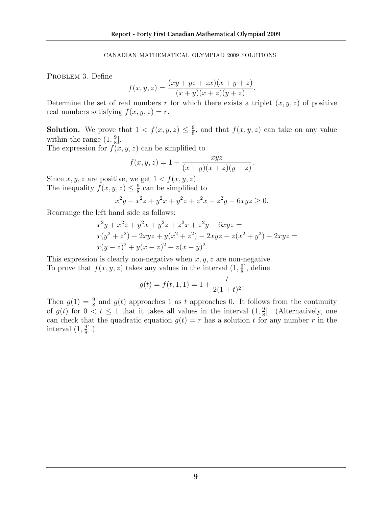## CANADIAN MATHEMATICAL OLYMPIAD 2009 SOLUTIONS

PROBLEM 3. Define

$$
f(x,y,z)=\frac{(xy+yz+zx)(x+y+z)}{(x+y)(x+z)(y+z)}.
$$

Determine the set of real numbers r for which there exists a triplet  $(x, y, z)$  of positive real numbers satisfying  $f(x, y, z) = r$ .

**Solution.** We prove that  $1 < f(x, y, z) \leq \frac{9}{8}$ , and that  $f(x, y, z)$  can take on any value within the range  $(1, \frac{9}{8}]$ .

The expression for  $f(x, y, z)$  can be simplified to

$$
f(x,y,z) = 1 + \frac{xyz}{(x+y)(x+z)(y+z)}.
$$

Since  $x, y, z$  are positive, we get  $1 < f(x, y, z)$ . The inequality  $f(x, y, z) \leq \frac{9}{8}$  can be simplified to

$$
y(z) \le \frac{1}{8}
$$
 can be simplified to  
 $x^2y + x^2z + y^2x + y^2z + z^2x + z^2y - 6xyz \ge 0.$ 

Rearrange the left hand side as follows:

$$
x^{2}y + x^{2}z + y^{2}x + y^{2}z + z^{2}x + z^{2}y - 6xyz =
$$
  
\n
$$
x(y^{2} + z^{2}) - 2xyz + y(x^{2} + z^{2}) - 2xyz + z(x^{2} + y^{2}) - 2xyz =
$$
  
\n
$$
x(y - z)^{2} + y(x - z)^{2} + z(x - y)^{2}.
$$

This expression is clearly non-negative when  $x, y, z$  are non-negative.

To prove that  $f(x, y, z)$  takes any values in the interval  $(1, \frac{9}{8}]$ , define

$$
g(t) = f(t, 1, 1) = 1 + \frac{t}{2(1+t)^2}.
$$

Then  $g(1) = \frac{9}{8}$  and  $g(t)$  approaches 1 as t approaches 0. It follows from the continuity of  $g(t)$  for  $0 < t \leq 1$  that it takes all values in the interval  $(1, \frac{9}{8})$ . (Alternatively, one can check that the quadratic equation  $g(t) = r$  has a solution t for any number r in the interval  $(1, \frac{9}{8}]$ .)  $\frac{9}{8}$ .)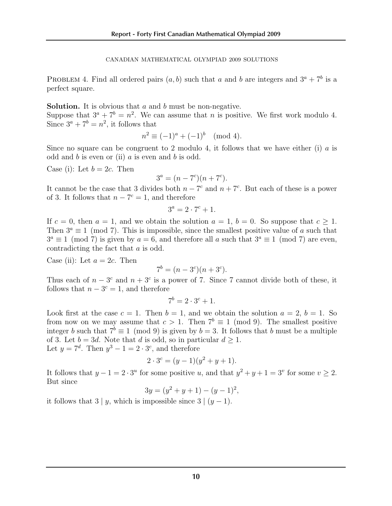4 CANADIAN MATHEMATICAL OLYMPIAD 2009 SOLUTIONS

PROBLEM 4. Find all ordered pairs  $(a, b)$  such that a and b are integers and  $3^a + 7^b$  is a perfect square.

**Solution.** It is obvious that  $a$  and  $b$  must be non-negative.

Suppose that  $3^a + 7^b = n^2$ . We can assume that *n* is positive. We first work modulo 4. Since  $3^a + 7^b = n^2$ , it follows that

$$
n^2 \equiv (-1)^a + (-1)^b \pmod{4}.
$$

Since no square can be congruent to 2 modulo 4, it follows that we have either (i) a is odd and  $b$  is even or (ii)  $a$  is even and  $b$  is odd.

Case (i): Let  $b = 2c$ . Then

$$
3^a = (n - 7^c)(n + 7^c).
$$

It cannot be the case that 3 divides both  $n - 7<sup>c</sup>$  and  $n + 7<sup>c</sup>$ . But each of these is a power of 3. It follows that  $n - 7^c = 1$ , and therefore

$$
3^a = 2 \cdot 7^c + 1.
$$

If  $c = 0$ , then  $a = 1$ , and we obtain the solution  $a = 1$ ,  $b = 0$ . So suppose that  $c > 1$ . Then  $3^a \equiv 1 \pmod{7}$ . This is impossible, since the smallest positive value of a such that  $3^a \equiv 1 \pmod{7}$  is given by  $a = 6$ , and therefore all a such that  $3^a \equiv 1 \pmod{7}$  are even, contradicting the fact that a is odd.

Case (ii): Let  $a = 2c$ . Then

$$
7^b = (n - 3^c)(n + 3^c).
$$

Thus each of  $n - 3<sup>c</sup>$  and  $n + 3<sup>c</sup>$  is a power of 7. Since 7 cannot divide both of these, it follows that  $n - 3^c = 1$ , and therefore

$$
7^b = 2 \cdot 3^c + 1.
$$

Look first at the case  $c = 1$ . Then  $b = 1$ , and we obtain the solution  $a = 2$ ,  $b = 1$ . So from now on we may assume that  $c > 1$ . Then  $7^b \equiv 1 \pmod{9}$ . The smallest positive integer b such that  $7^b \equiv 1 \pmod{9}$  is given by  $b = 3$ . It follows that b must be a multiple of 3. Let  $b = 3d$ . Note that d is odd, so in particular  $d \geq 1$ . Let  $y = 7^d$ . Then  $y^3 - 1 = 2 \cdot 3^c$ , and therefore

$$
2 \cdot 3^c = (y - 1)(y^2 + y + 1).
$$

It follows that  $y - 1 = 2 \cdot 3^u$  for some positive u, and that  $y^2 + y + 1 = 3^v$  for some  $v > 2$ . But since

$$
3y = (y^2 + y + 1) - (y - 1)^2,
$$

it follows that  $3 | y$ , which is impossible since  $3 | (y - 1)$ .